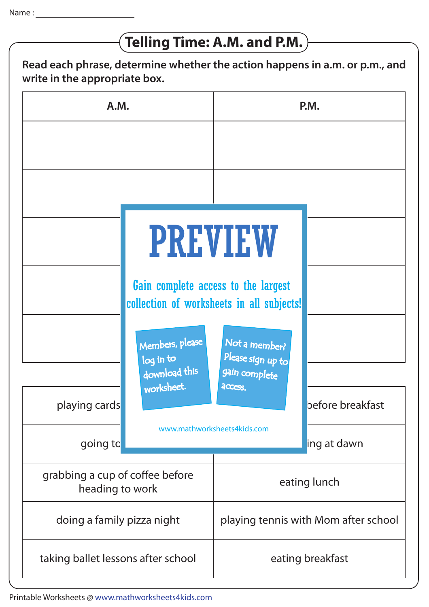## **Telling Time: A.M. and P.M.**

**Read each phrase, determine whether the action happens in a.m. or p.m., and write in the appropriate box.**

| A.M.                                               |                                                                                                                                                                   | P.M.                                                           |                                 |
|----------------------------------------------------|-------------------------------------------------------------------------------------------------------------------------------------------------------------------|----------------------------------------------------------------|---------------------------------|
|                                                    |                                                                                                                                                                   |                                                                |                                 |
|                                                    | <b>PREVIEW</b><br>Gain complete access to the largest<br>collection of worksheets in all subjects!<br>Members, please<br>log in to<br>download this<br>worksheet. | Not a member?<br>Please sign up to<br>gain complete<br>access. |                                 |
| playing cards<br>going to                          | www.mathworksheets4kids.com                                                                                                                                       |                                                                | before breakfast<br>ing at dawn |
| grabbing a cup of coffee before<br>heading to work |                                                                                                                                                                   | eating lunch                                                   |                                 |
| doing a family pizza night                         |                                                                                                                                                                   | playing tennis with Mom after school                           |                                 |
| taking ballet lessons after school                 |                                                                                                                                                                   | eating breakfast                                               |                                 |